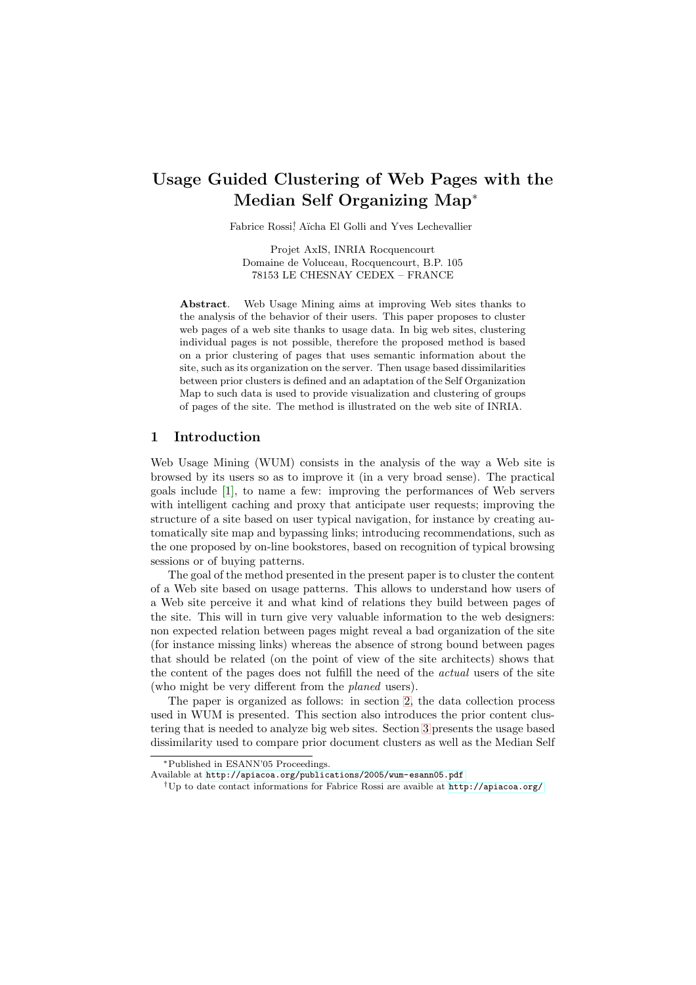# Usage Guided Clustering of Web Pages with the Median Self Organizing Map<sup>∗</sup>

Fabrice Rossi<sup>†</sup> Aïcha El Golli and Yves Lechevallier

Projet AxIS, INRIA Rocquencourt Domaine de Voluceau, Rocquencourt, B.P. 105 78153 LE CHESNAY CEDEX – FRANCE

Abstract. Web Usage Mining aims at improving Web sites thanks to the analysis of the behavior of their users. This paper proposes to cluster web pages of a web site thanks to usage data. In big web sites, clustering individual pages is not possible, therefore the proposed method is based on a prior clustering of pages that uses semantic information about the site, such as its organization on the server. Then usage based dissimilarities between prior clusters is defined and an adaptation of the Self Organization Map to such data is used to provide visualization and clustering of groups of pages of the site. The method is illustrated on the web site of INRIA.

## 1 Introduction

Web Usage Mining (WUM) consists in the analysis of the way a Web site is browsed by its users so as to improve it (in a very broad sense). The practical goals include [\[1\]](#page-5-0), to name a few: improving the performances of Web servers with intelligent caching and proxy that anticipate user requests; improving the structure of a site based on user typical navigation, for instance by creating automatically site map and bypassing links; introducing recommendations, such as the one proposed by on-line bookstores, based on recognition of typical browsing sessions or of buying patterns.

The goal of the method presented in the present paper is to cluster the content of a Web site based on usage patterns. This allows to understand how users of a Web site perceive it and what kind of relations they build between pages of the site. This will in turn give very valuable information to the web designers: non expected relation between pages might reveal a bad organization of the site (for instance missing links) whereas the absence of strong bound between pages that should be related (on the point of view of the site architects) shows that the content of the pages does not fulfill the need of the actual users of the site (who might be very different from the planed users).

The paper is organized as follows: in section [2,](#page-1-0) the data collection process used in WUM is presented. This section also introduces the prior content clustering that is needed to analyze big web sites. Section [3](#page-3-0) presents the usage based dissimilarity used to compare prior document clusters as well as the Median Self

<sup>∗</sup>Published in ESANN'05 Proceedings.

Available at <http://apiacoa.org/publications/2005/wum-esann05.pdf>

<sup>†</sup>Up to date contact informations for Fabrice Rossi are avaible at <http://apiacoa.org/>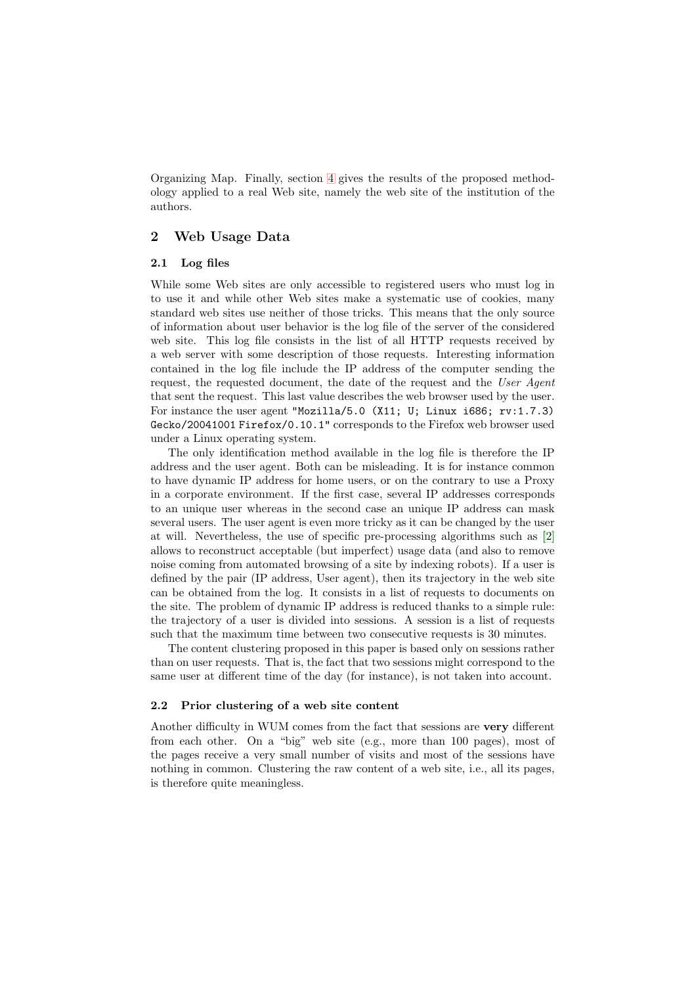Organizing Map. Finally, section [4](#page-4-0) gives the results of the proposed methodology applied to a real Web site, namely the web site of the institution of the authors.

## <span id="page-1-0"></span>2 Web Usage Data

#### 2.1 Log files

While some Web sites are only accessible to registered users who must log in to use it and while other Web sites make a systematic use of cookies, many standard web sites use neither of those tricks. This means that the only source of information about user behavior is the log file of the server of the considered web site. This log file consists in the list of all HTTP requests received by a web server with some description of those requests. Interesting information contained in the log file include the IP address of the computer sending the request, the requested document, the date of the request and the User Agent that sent the request. This last value describes the web browser used by the user. For instance the user agent "Mozilla/5.0 (X11; U; Linux i686;  $rv:1.7.3$ ) Gecko/20041001 Firefox/0.10.1" corresponds to the Firefox web browser used under a Linux operating system.

The only identification method available in the log file is therefore the IP address and the user agent. Both can be misleading. It is for instance common to have dynamic IP address for home users, or on the contrary to use a Proxy in a corporate environment. If the first case, several IP addresses corresponds to an unique user whereas in the second case an unique IP address can mask several users. The user agent is even more tricky as it can be changed by the user at will. Nevertheless, the use of specific pre-processing algorithms such as [\[2\]](#page-5-1) allows to reconstruct acceptable (but imperfect) usage data (and also to remove noise coming from automated browsing of a site by indexing robots). If a user is defined by the pair (IP address, User agent), then its trajectory in the web site can be obtained from the log. It consists in a list of requests to documents on the site. The problem of dynamic IP address is reduced thanks to a simple rule: the trajectory of a user is divided into sessions. A session is a list of requests such that the maximum time between two consecutive requests is 30 minutes.

The content clustering proposed in this paper is based only on sessions rather than on user requests. That is, the fact that two sessions might correspond to the same user at different time of the day (for instance), is not taken into account.

#### 2.2 Prior clustering of a web site content

Another difficulty in WUM comes from the fact that sessions are very different from each other. On a "big" web site (e.g., more than 100 pages), most of the pages receive a very small number of visits and most of the sessions have nothing in common. Clustering the raw content of a web site, i.e., all its pages, is therefore quite meaningless.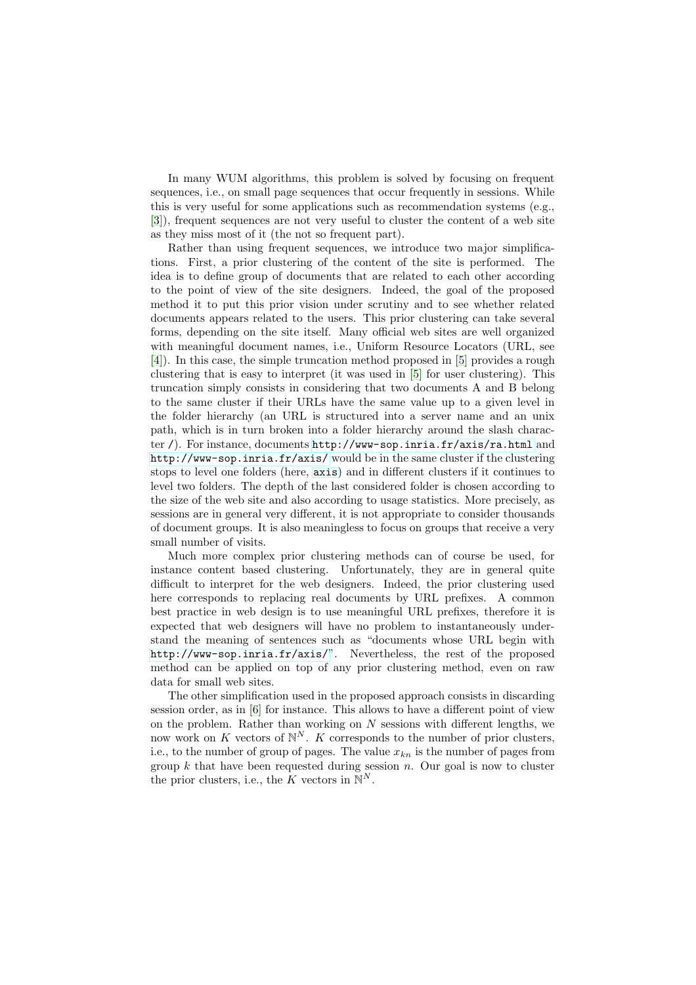In many WUM algorithms, this problem is solved by focusing on frequent sequences, i.e., on small page sequences that occur frequently in sessions. While this is very useful for some applications such as recommendation systems (e.g., [\[3\]](#page-5-2)), frequent sequences are not very useful to cluster the content of a web site as they miss most of it (the not so frequent part).

Rather than using frequent sequences, we introduce two major simplifications. First, a prior clustering of the content of the site is performed. The idea is to define group of documents that are related to each other according to the point of view of the site designers. Indeed, the goal of the proposed method it to put this prior vision under scrutiny and to see whether related documents appears related to the users. This prior clustering can take several forms, depending on the site itself. Many official web sites are well organized with meaningful document names, i.e., Uniform Resource Locators (URL, see [\[4\]](#page-5-3)). In this case, the simple truncation method proposed in [\[5\]](#page-5-4) provides a rough clustering that is easy to interpret (it was used in [\[5\]](#page-5-4) for user clustering). This truncation simply consists in considering that two documents A and B belong to the same cluster if their URLs have the same value up to a given level in the folder hierarchy (an URL is structured into a server name and an unix path, which is in turn broken into a folder hierarchy around the slash character /). For instance, documents <http://www-sop.inria.fr/axis/ra.html> and <http://www-sop.inria.fr/axis/> would be in the same cluster if the clustering stops to level one folders (here, <axis>) and in different clusters if it continues to level two folders. The depth of the last considered folder is chosen according to the size of the web site and also according to usage statistics. More precisely, as sessions are in general very different, it is not appropriate to consider thousands of document groups. It is also meaningless to focus on groups that receive a very small number of visits.

Much more complex prior clustering methods can of course be used, for instance content based clustering. Unfortunately, they are in general quite difficult to interpret for the web designers. Indeed, the prior clustering used here corresponds to replacing real documents by URL prefixes. A common best practice in web design is to use meaningful URL prefixes, therefore it is expected that web designers will have no problem to instantaneously understand the meaning of sentences such as "documents whose URL begin with <http://www-sop.inria.fr/axis/>". Nevertheless, the rest of the proposed method can be applied on top of any prior clustering method, even on raw data for small web sites.

The other simplification used in the proposed approach consists in discarding session order, as in [\[6\]](#page-6-0) for instance. This allows to have a different point of view on the problem. Rather than working on  $N$  sessions with different lengths, we now work on K vectors of  $\mathbb{N}^N$ . K corresponds to the number of prior clusters, i.e., to the number of group of pages. The value  $x_{k,n}$  is the number of pages from group k that have been requested during session  $n$ . Our goal is now to cluster the prior clusters, i.e., the K vectors in  $\mathbb{N}^N$ .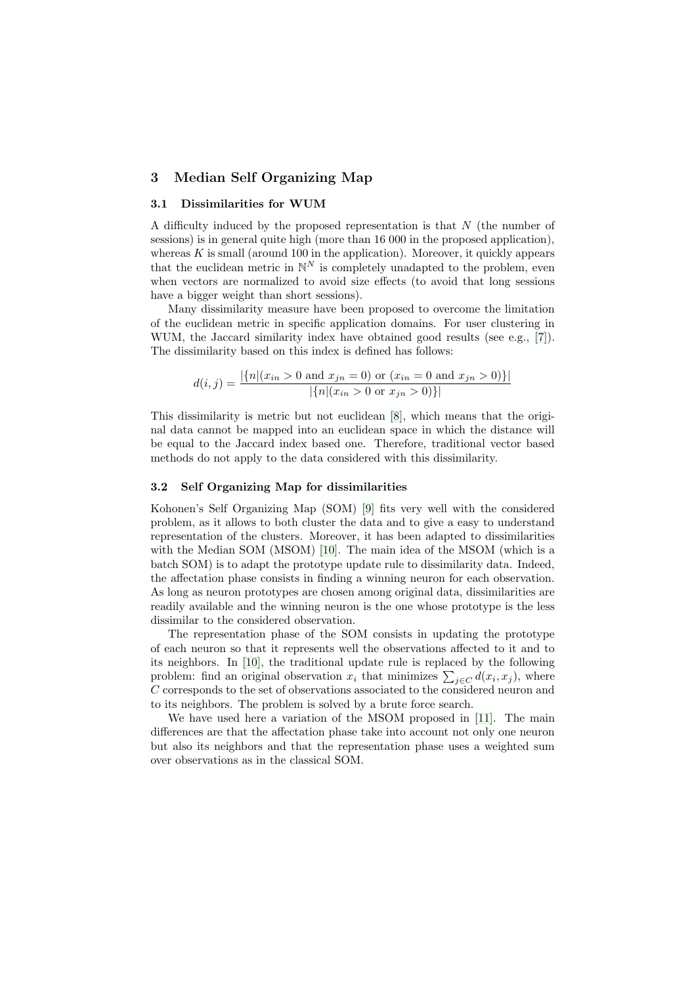# <span id="page-3-0"></span>3 Median Self Organizing Map

## 3.1 Dissimilarities for WUM

A difficulty induced by the proposed representation is that  $N$  (the number of sessions) is in general quite high (more than 16 000 in the proposed application), whereas  $K$  is small (around 100 in the application). Moreover, it quickly appears that the euclidean metric in  $\mathbb{N}^N$  is completely unadapted to the problem, even when vectors are normalized to avoid size effects (to avoid that long sessions have a bigger weight than short sessions).

Many dissimilarity measure have been proposed to overcome the limitation of the euclidean metric in specific application domains. For user clustering in WUM, the Jaccard similarity index have obtained good results (see e.g., [\[7\]](#page-6-1)). The dissimilarity based on this index is defined has follows:

$$
d(i,j) = \frac{|\{n|(x_{in} > 0 \text{ and } x_{jn} = 0) \text{ or } (x_{in} = 0 \text{ and } x_{jn} > 0)\}|}{|\{n|(x_{in} > 0 \text{ or } x_{jn} > 0)\}|}
$$

This dissimilarity is metric but not euclidean [\[8\]](#page-6-2), which means that the original data cannot be mapped into an euclidean space in which the distance will be equal to the Jaccard index based one. Therefore, traditional vector based methods do not apply to the data considered with this dissimilarity.

#### 3.2 Self Organizing Map for dissimilarities

Kohonen's Self Organizing Map (SOM) [\[9\]](#page-6-3) fits very well with the considered problem, as it allows to both cluster the data and to give a easy to understand representation of the clusters. Moreover, it has been adapted to dissimilarities with the Median SOM (MSOM) [\[10\]](#page-6-4). The main idea of the MSOM (which is a batch SOM) is to adapt the prototype update rule to dissimilarity data. Indeed, the affectation phase consists in finding a winning neuron for each observation. As long as neuron prototypes are chosen among original data, dissimilarities are readily available and the winning neuron is the one whose prototype is the less dissimilar to the considered observation.

The representation phase of the SOM consists in updating the prototype of each neuron so that it represents well the observations affected to it and to its neighbors. In [\[10\]](#page-6-4), the traditional update rule is replaced by the following problem: find an original observation  $x_i$  that minimizes  $\sum_{j \in C} d(x_i, x_j)$ , where  $C$  corresponds to the set of observations associated to the considered neuron and to its neighbors. The problem is solved by a brute force search.

We have used here a variation of the MSOM proposed in [\[11\]](#page-6-5). The main differences are that the affectation phase take into account not only one neuron but also its neighbors and that the representation phase uses a weighted sum over observations as in the classical SOM.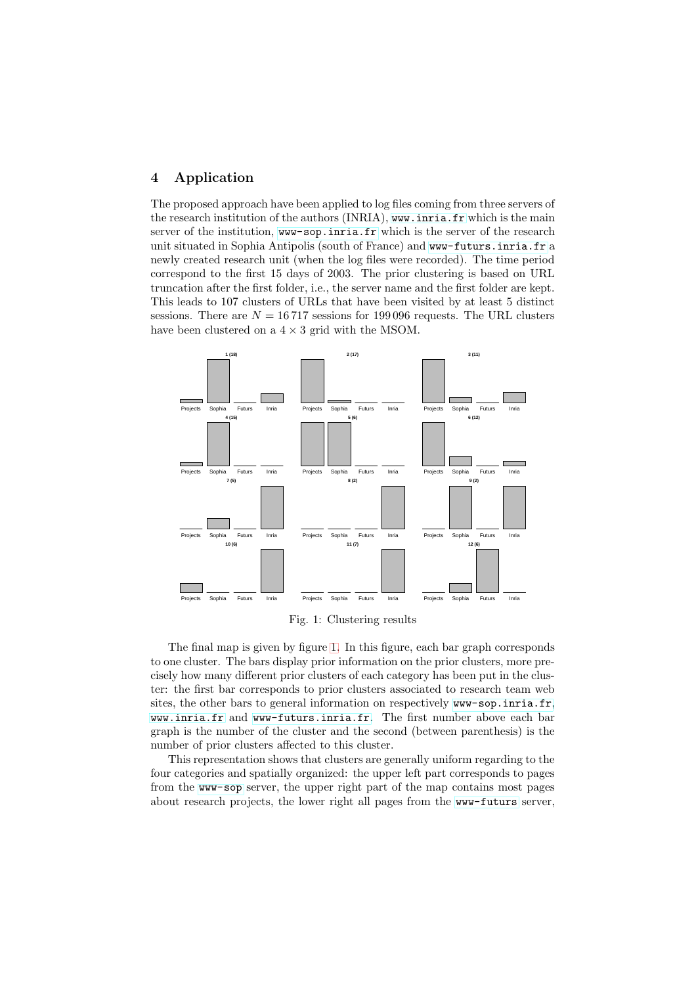## <span id="page-4-0"></span>4 Application

The proposed approach have been applied to log files coming from three servers of the research institution of the authors (INRIA), <www.inria.fr> which is the main server of the institution, <www-sop.inria.fr> which is the server of the research unit situated in Sophia Antipolis (south of France) and <www-futurs.inria.fr> a newly created research unit (when the log files were recorded). The time period correspond to the first 15 days of 2003. The prior clustering is based on URL truncation after the first folder, i.e., the server name and the first folder are kept. This leads to 107 clusters of URLs that have been visited by at least 5 distinct sessions. There are  $N = 16717$  sessions for 199096 requests. The URL clusters have been clustered on a  $4 \times 3$  grid with the MSOM.



<span id="page-4-1"></span>Fig. 1: Clustering results

The final map is given by figure [1.](#page-4-1) In this figure, each bar graph corresponds to one cluster. The bars display prior information on the prior clusters, more precisely how many different prior clusters of each category has been put in the cluster: the first bar corresponds to prior clusters associated to research team web sites, the other bars to general information on respectively <www-sop.inria.fr>, <www.inria.fr> and <www-futurs.inria.fr>. The first number above each bar graph is the number of the cluster and the second (between parenthesis) is the number of prior clusters affected to this cluster.

This representation shows that clusters are generally uniform regarding to the four categories and spatially organized: the upper left part corresponds to pages from the <www-sop> server, the upper right part of the map contains most pages about research projects, the lower right all pages from the <www-futurs> server,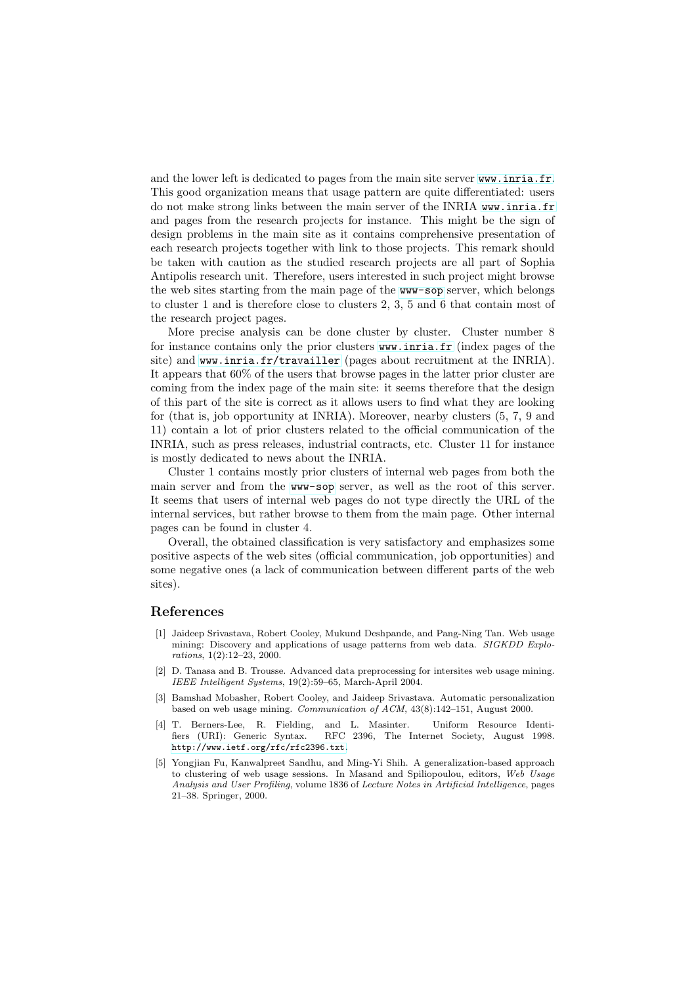and the lower left is dedicated to pages from the main site server <www.inria.fr>. This good organization means that usage pattern are quite differentiated: users do not make strong links between the main server of the INRIA <www.inria.fr> and pages from the research projects for instance. This might be the sign of design problems in the main site as it contains comprehensive presentation of each research projects together with link to those projects. This remark should be taken with caution as the studied research projects are all part of Sophia Antipolis research unit. Therefore, users interested in such project might browse the web sites starting from the main page of the <www-sop> server, which belongs to cluster 1 and is therefore close to clusters 2, 3, 5 and 6 that contain most of the research project pages.

More precise analysis can be done cluster by cluster. Cluster number 8 for instance contains only the prior clusters <www.inria.fr> (index pages of the site) and <www.inria.fr/travailler> (pages about recruitment at the INRIA). It appears that 60% of the users that browse pages in the latter prior cluster are coming from the index page of the main site: it seems therefore that the design of this part of the site is correct as it allows users to find what they are looking for (that is, job opportunity at INRIA). Moreover, nearby clusters (5, 7, 9 and 11) contain a lot of prior clusters related to the official communication of the INRIA, such as press releases, industrial contracts, etc. Cluster 11 for instance is mostly dedicated to news about the INRIA.

Cluster 1 contains mostly prior clusters of internal web pages from both the main server and from the <www-sop> server, as well as the root of this server. It seems that users of internal web pages do not type directly the URL of the internal services, but rather browse to them from the main page. Other internal pages can be found in cluster 4.

Overall, the obtained classification is very satisfactory and emphasizes some positive aspects of the web sites (official communication, job opportunities) and some negative ones (a lack of communication between different parts of the web sites).

### <span id="page-5-0"></span>References

- [1] Jaideep Srivastava, Robert Cooley, Mukund Deshpande, and Pang-Ning Tan. Web usage mining: Discovery and applications of usage patterns from web data. SIGKDD Explorations, 1(2):12–23, 2000.
- <span id="page-5-1"></span>[2] D. Tanasa and B. Trousse. Advanced data preprocessing for intersites web usage mining. IEEE Intelligent Systems, 19(2):59–65, March-April 2004.
- <span id="page-5-2"></span>[3] Bamshad Mobasher, Robert Cooley, and Jaideep Srivastava. Automatic personalization based on web usage mining. Communication of ACM, 43(8):142–151, August 2000.
- <span id="page-5-3"></span>[4] T. Berners-Lee, R. Fielding, and L. Masinter. Uniform Resource Identifiers (URI): Generic Syntax. RFC 2396, The Internet Society, August 1998. <http://www.ietf.org/rfc/rfc2396.txt>.
- <span id="page-5-4"></span>[5] Yongjian Fu, Kanwalpreet Sandhu, and Ming-Yi Shih. A generalization-based approach to clustering of web usage sessions. In Masand and Spiliopoulou, editors, Web Usage Analysis and User Profiling, volume 1836 of Lecture Notes in Artificial Intelligence, pages 21–38. Springer, 2000.